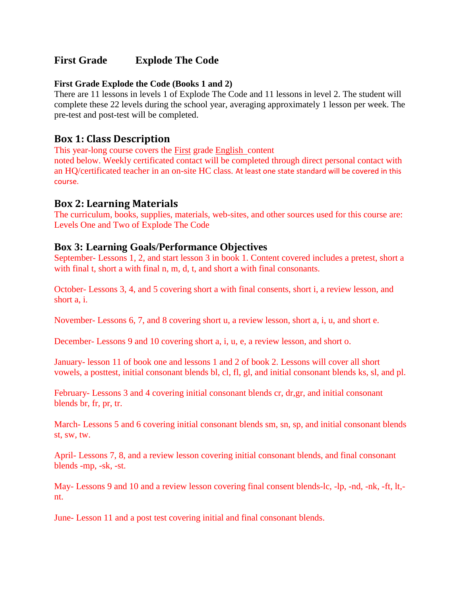# **First Grade Explode The Code**

#### **First Grade Explode the Code (Books 1 and 2)**

There are 11 lessons in levels 1 of Explode The Code and 11 lessons in level 2. The student will complete these 22 levels during the school year, averaging approximately 1 lesson per week. The pre-test and post-test will be completed.

### **Box 1: Class Description**

This year-long course covers the First grade English content

noted below. Weekly certificated contact will be completed through direct personal contact with an HQ/certificated teacher in an on-site HC class. At least one state standard will be covered in this course.

### **Box 2: Learning Materials**

The curriculum, books, supplies, materials, web-sites, and other sources used for this course are: Levels One and Two of Explode The Code

### **Box 3: Learning Goals/Performance Objectives**

September- Lessons 1, 2, and start lesson 3 in book 1. Content covered includes a pretest, short a with final t, short a with final n, m, d, t, and short a with final consonants.

October- Lessons 3, 4, and 5 covering short a with final consents, short i, a review lesson, and short a, i.

November- Lessons 6, 7, and 8 covering short u, a review lesson, short a, i, u, and short e.

December- Lessons 9 and 10 covering short a, i, u, e, a review lesson, and short o.

January- lesson 11 of book one and lessons 1 and 2 of book 2. Lessons will cover all short vowels, a posttest, initial consonant blends bl, cl, fl, gl, and initial consonant blends ks, sl, and pl.

February- Lessons 3 and 4 covering initial consonant blends cr, dr,gr, and initial consonant blends br, fr, pr, tr.

March- Lessons 5 and 6 covering initial consonant blends sm, sn, sp, and initial consonant blends st, sw, tw.

April- Lessons 7, 8, and a review lesson covering initial consonant blends, and final consonant blends -mp, -sk, -st.

May- Lessons 9 and 10 and a review lesson covering final consent blends-lc, -lp, -nd, -nk, -ft, lt, nt.

June- Lesson 11 and a post test covering initial and final consonant blends.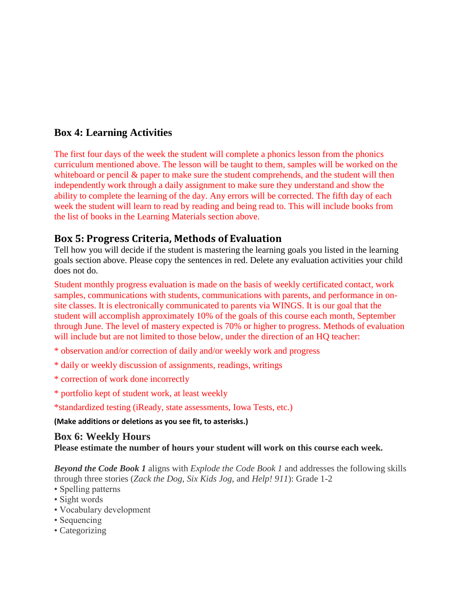# **Box 4: Learning Activities**

The first four days of the week the student will complete a phonics lesson from the phonics curriculum mentioned above. The lesson will be taught to them, samples will be worked on the whiteboard or pencil  $\&$  paper to make sure the student comprehends, and the student will then independently work through a daily assignment to make sure they understand and show the ability to complete the learning of the day. Any errors will be corrected. The fifth day of each week the student will learn to read by reading and being read to. This will include books from the list of books in the Learning Materials section above.

# **Box 5: Progress Criteria, Methods of Evaluation**

Tell how you will decide if the student is mastering the learning goals you listed in the learning goals section above. Please copy the sentences in red. Delete any evaluation activities your child does not do.

Student monthly progress evaluation is made on the basis of weekly certificated contact, work samples, communications with students, communications with parents, and performance in onsite classes. It is electronically communicated to parents via WINGS. It is our goal that the student will accomplish approximately 10% of the goals of this course each month, September through June. The level of mastery expected is 70% or higher to progress. Methods of evaluation will include but are not limited to those below, under the direction of an HQ teacher:

- \* observation and/or correction of daily and/or weekly work and progress
- \* daily or weekly discussion of assignments, readings, writings
- \* correction of work done incorrectly
- \* portfolio kept of student work, at least weekly

\*standardized testing (iReady, state assessments, Iowa Tests, etc.)

**(Make additions or deletions as you see fit, to asterisks.)**

#### **Box 6: Weekly Hours Please estimate the number of hours your student will work on this course each week.**

*Beyond the Code Book 1* aligns with *Explode the Code Book 1* and addresses the following skills through three stories (*Zack the Dog*, *Six Kids Jog*, and *Help! 911*): Grade 1-2

- Spelling patterns
- Sight words
- Vocabulary development
- Sequencing
- Categorizing